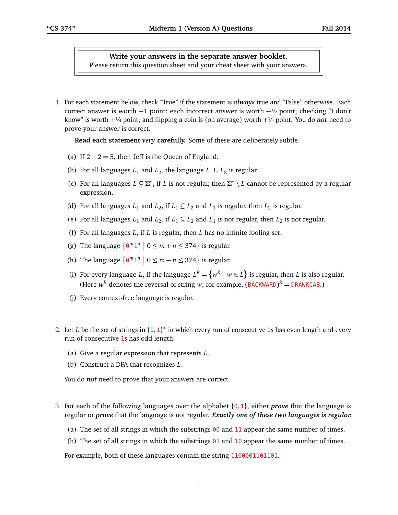## **Write your answers in the separate answer booklet.**

Please return this question sheet and your cheat sheet with your answers.

1. For each statement below, check "True" if the statement is *always* true and "False" otherwise. Each correct answer is worth +1 point; each incorrect answer is worth  $-\frac{1}{2}$  point; checking "I don't know" is worth  $+\frac{1}{4}$  point; and flipping a coin is (on average) worth  $+\frac{1}{4}$  point. You do **not** need to prove your answer is correct.

**Read each statement** *very* **carefully.** Some of these are deliberately subtle.

- (a) If  $2 + 2 = 5$ , then Jeff is the Queen of England.
- (b) For all languages  $L_1$  and  $L_2$ , the language  $L_1 \cup L_2$  is regular.
- (c) For all languages  $L \subseteq \Sigma^*$ , if *L* is not regular, then  $\Sigma^* \setminus L$  cannot be represented by a regular expression.
- (d) For all languages  $L_1$  and  $L_2$ , if  $L_1 \subseteq L_2$  and  $L_1$  is regular, then  $L_2$  is regular.
- (e) For all languages  $L_1$  and  $L_2$ , if  $L_1 \subseteq L_2$  and  $L_1$  is not regular, then  $L_2$  is not regular.
- (f) For all languages *L*, if *L* is regular, then *L* has no infinite fooling set.
- (g) The language  $\{0^m1^n \mid 0 \le m + n \le 374\}$  is regular.
- (h) The language  $\left\{ \Theta^m 1^n \mid 0 \le m n \le 374 \right\}$  is regular.
- (i) For every language *L*, if the language  $L^R = \{w^R | w \in L\}$  is regular, then *L* is also regular. (Here  $w^R$  denotes the reversal of string *w*; for example,  $(BACKWARD)^R = DRAWKCAB$ .)
- (j) Every context-free language is regular.
- 2. Let *L* be the set of strings in  $\{0, 1\}^*$  in which every run of consecutive 0s has even length and every run of consecutive 1s has odd length.
	- (a) Give a regular expression that represents *L*.
	- (b) Construct a DFA that recognizes *L*.

You do *not* need to prove that your answers are correct.

- 3. For each of the following languages over the alphabet {0, 1}, either *prove* that the language is regular or *prove* that the language is not regular. *Exactly one of these two languages is regular.*
	- (a) The set of all strings in which the substrings  $00$  and 11 appear the same number of times.
	- (b) The set of all strings in which the substrings  $01$  and  $10$  appear the same number of times.

For example, both of these languages contain the string 1100001101101.